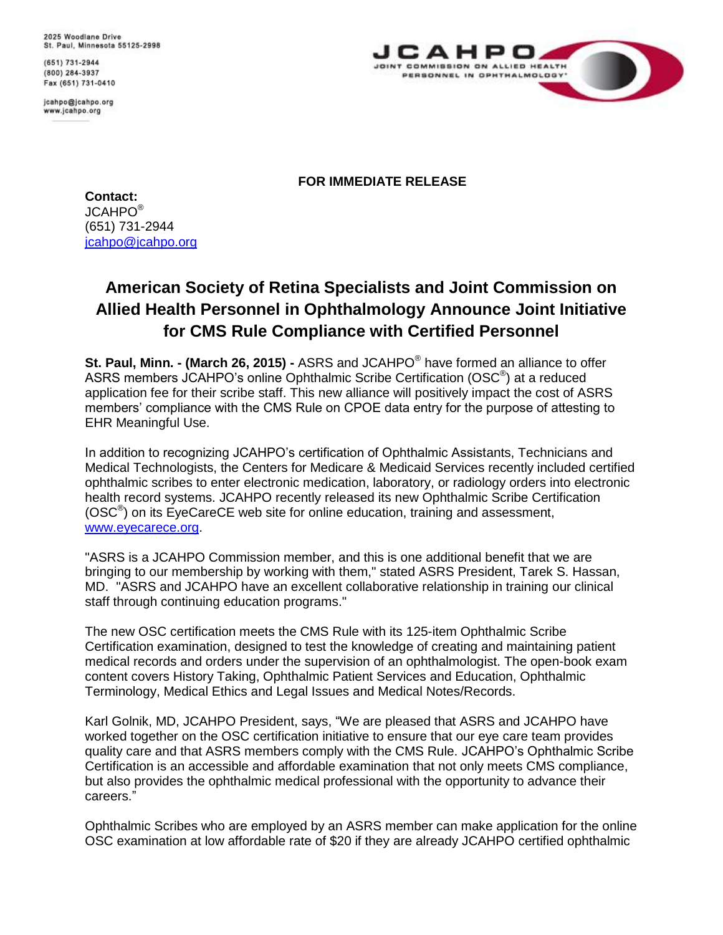2025 Woodlane Drive St. Paul, Minnesota 55125-2998

(651) 731-2944 (800) 284-3937 Fax (651) 731-0410

icahpo@icahpo.org www.jcahpo.org



**FOR IMMEDIATE RELEASE**

**Contact:**  $JCAHPO^@$ (651) 731-2944 [jcahpo@jcahpo.org](mailto:jcahpo@jcahpo.org)

## **American Society of Retina Specialists and Joint Commission on Allied Health Personnel in Ophthalmology Announce Joint Initiative for CMS Rule Compliance with Certified Personnel**

**St. Paul, Minn. - (March 26, 2015) -** ASRS and JCAHPO® have formed an alliance to offer ASRS members JCAHPO's online Ophthalmic Scribe Certification (OSC<sup>®</sup>) at a reduced application fee for their scribe staff. This new alliance will positively impact the cost of ASRS members' compliance with the CMS Rule on CPOE data entry for the purpose of attesting to EHR Meaningful Use.

In addition to recognizing JCAHPO's certification of Ophthalmic Assistants, Technicians and Medical Technologists, the Centers for Medicare & Medicaid Services recently included certified ophthalmic scribes to enter electronic medication, laboratory, or radiology orders into electronic health record systems. JCAHPO recently released its new Ophthalmic Scribe Certification (OSC<sup>®</sup>) on its EyeCareCE web site for online education, training and assessment, [www.eyecarece.org.](http://www.eyecarece.org/)

"ASRS is a JCAHPO Commission member, and this is one additional benefit that we are bringing to our membership by working with them," stated ASRS President, Tarek S. Hassan, MD. "ASRS and JCAHPO have an excellent collaborative relationship in training our clinical staff through continuing education programs."

The new OSC certification meets the CMS Rule with its 125-item Ophthalmic Scribe Certification examination, designed to test the knowledge of creating and maintaining patient medical records and orders under the supervision of an ophthalmologist. The open-book exam content covers History Taking, Ophthalmic Patient Services and Education, Ophthalmic Terminology, Medical Ethics and Legal Issues and Medical Notes/Records.

Karl Golnik, MD, JCAHPO President, says, "We are pleased that ASRS and JCAHPO have worked together on the OSC certification initiative to ensure that our eye care team provides quality care and that ASRS members comply with the CMS Rule. JCAHPO's Ophthalmic Scribe Certification is an accessible and affordable examination that not only meets CMS compliance, but also provides the ophthalmic medical professional with the opportunity to advance their careers."

Ophthalmic Scribes who are employed by an ASRS member can make application for the online OSC examination at low affordable rate of \$20 if they are already JCAHPO certified ophthalmic